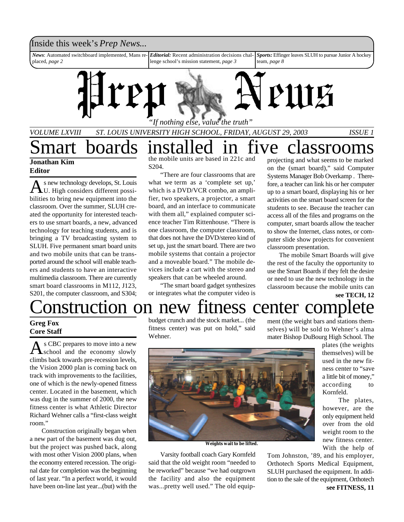

### **Jonathan Kim Editor**

A s new technology develops, St. Louis<br>U. High considers different possis new technology develops, St. Louis bilities to bring new equipment into the classroom. Over the summer, SLUH created the opportunity for interested teachers to use smart boards, a new, advanced technology for teaching students, and is bringing a TV broadcasting system to SLUH. Five permanent smart board units and two mobile units that can be transported around the school will enable teachers and students to have an interactive multimedia classroom. There are currently smart board classrooms in M112, J123, S201, the computer classroom, and S304; the mobile units are based in 221c and S204.

"There are four classrooms that are what we term as a 'complete set up,' which is a DVD/VCR combo, an amplifier, two speakers, a projector, a smart board, and an interface to communicate with them all," explained computer science teacher Tim Rittenhouse. "There is one classroom, the computer classroom, that does not have the DVD/stereo kind of set up, just the smart board. There are two mobile systems that contain a projector and a moveable board." The mobile devices include a cart with the stereo and speakers that can be wheeled around.

"The smart board gadget synthesizes or integrates what the computer video is

projecting and what seems to be marked on the (smart board)," said Computer Systems Manager Bob Overkamp . Therefore, a teacher can link his or her computer up to a smart board, displaying his or her activities on the smart board screen for the students to see. Because the teacher can access all of the files and programs on the computer, smart boards allow the teacher to show the Internet, class notes, or computer slide show projects for convenient classroom presentation.

The mobile Smart Boards will give the rest of the faculty the opportunity to use the Smart Boards if they felt the desire or need to use the new technology in the classroom because the mobile units can **see TECH, 12**

# onstruction on new fitness center comp

#### **Greg Fox Core Staff**

A s CBC prepares to move into a new<br>School and the economy slowly s CBC prepares to move into a new climbs back towards pre-recession levels, the Vision 2000 plan is coming back on track with improvements to the facilities, one of which is the newly-opened fitness center. Located in the basement, which was dug in the summer of 2000, the new fitness center is what Athletic Director Richard Wehner calls a "first-class weight room."

Construction originally began when a new part of the basement was dug out, but the project was pushed back, along with most other Vision 2000 plans, when the economy entered recession. The original date for completion was the beginning of last year. "In a perfect world, it would have been on-line last year...(but) with the budget crunch and the stock market... (the fitness center) was put on hold," said Wehner.

ment (the weight bars and stations themselves) will be sold to Wehner's alma mater Bishop DuBourg High School. The



**Weights wait to be lifted.**

Varsity football coach Gary Kornfeld said that the old weight room "needed to be reworked" because "we had outgrown the facility and also the equipment was...pretty well used." The old equipplates (the weights themselves) will be used in the new fitness center to "save a little bit of money," according to Kornfeld.

> The plates, however, are the only equipment held over from the old weight room to the new fitness center. With the help of

Tom Johnston, '89, and his employer, Orthotech Sports Medical Equipment, SLUH purchased the equipment. In addition to the sale of the equipment, Orthotech **see FITNESS, 11**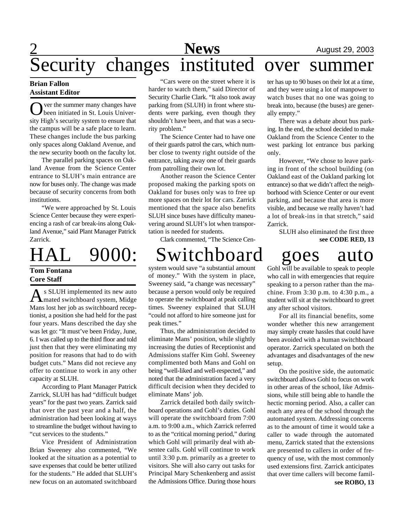# **2** August 29, 2003 Security changes instituted over summer

#### **Brian Fallon Assistant Editor**

Over the summer many changes have<br>been initiated in St. Louis Univerver the summer many changes have sity High's security system to ensure that the campus will be a safe place to learn. These changes include the bus parking only spaces along Oakland Avenue, and the new security booth on the faculty lot.

The parallel parking spaces on Oakland Avenue from the Science Center entrance to SLUH's main entrance are now for buses only. The change was made because of security concerns from both institutions.

"We were approached by St. Louis Science Center because they were experiencing a rash of car break-ins along Oakland Avenue," said Plant Manager Patrick Zarrick.

# HAL 9000: Switchboard goes auto

### **Tom Fontana Core Staff**

As SLUH implemented its new auto<br>
mated switchboard system, Midge s SLUH implemented its new auto Mans lost her job as switchboard receptionist, a position she had held for the past four years. Mans described the day she was let go: "It must've been Friday, June, 6. I was called up to the third floor and told just then that they were eliminating my position for reasons that had to do with budget cuts." Mans did not recieve any offer to continue to work in any other capacity at SLUH.

According to Plant Manager Patrick Zarrick, SLUH has had "difficult budget years" for the past two years. Zarrick said that over the past year and a half, the administration had been looking at ways to streamline the budget without having to "cut services to the students."

Vice President of Administration Brian Sweeney also commented, "We looked at the situation as a potential to save expenses that could be better utilized for the students." He added that SLUH's new focus on an automated switchboard

"Cars were on the street where it is harder to watch them," said Director of Security Charlie Clark. "It also took away parking from (SLUH) in front where students were parking, even though they shouldn't have been, and that was a security problem."

The Science Center had to have one of their guards patrol the cars, which number close to twenty right outside of the entrance, taking away one of their guards from patrolling their own lot.

Another reason the Science Center proposed making the parking spots on Oakland for buses only was to free up more spaces on their lot for cars. Zarrick mentioned that the space also benefits SLUH since buses have difficulty maneuvering around SLUH's lot when transportation is needed for students.

Clark commented, "The Science Cen-

system would save "a substantial amount of money." With the system in place, Sweeney said, "a change was necessary" because a person would only be required to operate the switchboard at peak calling times. Sweeney explained that SLUH "could not afford to hire someone just for peak times."

Thus, the administration decided to eliminate Mans' position, while slightly increasing the duties of Receptionist and Admissions staffer Kim Gohl. Sweeney complimented both Mans and Gohl on being "well-liked and well-respected," and noted that the administration faced a very difficult decision when they decided to eliminate Mans' job.

Zarrick detailed both daily switchboard operations and Gohl's duties. Gohl will operate the switchboard from 7:00 a.m. to 9:00 a.m., which Zarrick referred to as the "critical morning period," during which Gohl will primarily deal with absentee calls. Gohl will continue to work until 3:30 p.m. primarily as a greeter to visitors. She will also carry out tasks for Principal Mary Schenkenberg and assist the Admissions Office. During those hours

ter has up to 90 buses on their lot at a time, and they were using a lot of manpower to watch buses that no one was going to break into, because (the buses) are generally empty."

There was a debate about bus parking. In the end, the school decided to make Oakland from the Science Center to the west parking lot entrance bus parking only.

However, "We chose to leave parking in front of the school building (on Oakland east of the Oakland parking lot entrance) so that we didn't affect the neighborhood with Science Center or our event parking, and because that area is more visible, and because we really haven't had a lot of break-ins in that stretch," said Zarrick.

SLUH also eliminated the first three **see CODE RED, 13**

Gohl will be available to speak to people who call in with emergencies that require speaking to a person rather than the machine. From 3:30 p.m. to 4:30 p.m., a student will sit at the switchboard to greet any after school visitors.

For all its financial benefits, some wonder whether this new arrangement may simply create hassles that could have been avoided with a human switchboard operator. Zarrick speculated on both the advantages and disadvantages of the new setup.

On the positive side, the automatic switchboard allows Gohl to focus on work in other areas of the school, like Admissions, while still being able to handle the hectic morning period. Also, a caller can reach any area of the school through the automated system. Addressing concerns as to the amount of time it would take a caller to wade through the automated menu, Zarrick stated that the extensions are presented to callers in order of frequency of use, with the most commonly used extensions first. Zarrick anticipates that over time callers will become famil-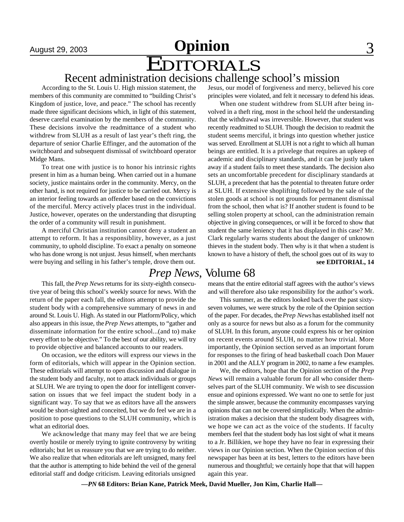# August 29, 2003 **Opinion** 3 EDITORIALS

### Recent administration decisions challenge school's mission

According to the St. Louis U. High mission statement, the members of this community are committed to "building Christ's Kingdom of justice, love, and peace." The school has recently made three significant decisions which, in light of this statement, deserve careful examination by the members of the community. These decisions involve the readmittance of a student who withdrew from SLUH as a result of last year's theft ring, the departure of senior Charlie Effinger, and the automation of the switchboard and subsequent dismissal of switchboard operator Midge Mans.

To treat one with justice is to honor his intrinsic rights present in him as a human being. When carried out in a humane society, justice maintains order in the community. Mercy, on the other hand, is not required for justice to be carried out. Mercy is an interior feeling towards an offender based on the convictions of the merciful. Mercy actively places trust in the individual. Justice, however, operates on the understanding that disrupting the order of a community will result in punishment.

A merciful Christian institution cannot deny a student an attempt to reform. It has a responsiblity, however, as a just community, to uphold discipline. To exact a penalty on someone who has done wrong is not unjust. Jesus himself, when merchants were buying and selling in his father's temple, drove them out.

This fall, the *Prep News* returns for its sixty-eighth consecutive year of being this school's weekly source for news. With the return of the paper each fall, the editors attempt to provide the student body with a comprehensive summary of news in and around St. Louis U. High. As stated in our Platform/Policy, which also appears in this issue, the *Prep News* attempts, to "gather and disseminate information for the entire school...(and to) make every effort to be objective." To the best of our ability, we will try to provide objective and balanced accounts to our readers.

On occasion, we the editors will express our views in the form of editorials, which will appear in the Opinion section. These editorials will attempt to open discussion and dialogue in the student body and faculty, not to attack individuals or groups at SLUH. We are trying to open the door for intelligent conversation on issues that we feel impact the student body in a significant way. To say that we as editors have all the answers would be short-sighted and conceited, but we do feel we are in a position to pose questions to the SLUH community, which is what an editorial does.

We acknowledge that many may feel that we are being overtly hostile or merely trying to ignite controversy by writing editorials; but let us reassure you that we are trying to do neither. We also realize that when editorials are left unsigned, many feel that the author is attempting to hide behind the veil of the general editorial staff and dodge criticism. Leaving editorials unsigned

Jesus, our model of forgiveness and mercy, believed his core principles were violated, and felt it necessary to defend his ideas.

When one student withdrew from SLUH after being involved in a theft ring, most in the school held the understanding that the withdrawal was irreversible. However, that student was recently readmitted to SLUH. Though the decision to readmit the student seems merciful, it brings into question whether justice was served. Enrollment at SLUH is not a right to which all human beings are entitled. It is a privelege that requires an upkeep of academic and disciplinary standards, and it can be justly taken away if a student fails to meet these standards. The decision also sets an uncomfortable precedent for disciplinary standards at SLUH, a precedent that has the potential to threaten future order at SLUH. If extensive shoplifting followed by the sale of the stolen goods at school is not grounds for permanent dismissal from the school, then what is? If another student is found to be selling stolen property at school, can the administration remain objective in giving consequences, or will it be forced to show that student the same leniency that it has displayed in this case? Mr. Clark regularly warns students about the danger of unknown thieves in the student body. Then why is it that when a student is known to have a history of theft, the school goes out of its way to **see EDITORIAL, 14**

### *Prep News*, Volume 68

means that the entire editorial staff agrees with the author's views and will therefore also take responsibility for the author's work.

This summer, as the editors looked back over the past sixtyseven volumes, we were struck by the role of the Opinion section of the paper. For decades, the *Prep News* has established itself not only as a source for news but also as a forum for the community of SLUH. In this forum, anyone could express his or her opinion on recent events around SLUH, no matter how trivial. More importantly, the Opinion section served as an important forum for responses to the firing of head basketball coach Don Mauer in 2001 and the ALLY program in 2002, to name a few examples.

We, the editors, hope that the Opinion section of the *Prep News* will remain a valuable forum for all who consider themselves part of the SLUH community. We wish to see discussion ensue and opinions expressed. We want no one to settle for just the simple answer, because the community encompasses varying opinions that can not be covered simplistically. When the administration makes a decision that the student body disagrees with, we hope we can act as the voice of the students. If faculty members feel that the student body has lost sight of what it means to a Jr. Billikien, we hope they have no fear in expressing their views in our Opinion section. When the Opinion section of this newspaper has been at its best, letters to the editors have been numerous and thoughtful; we certainly hope that that will happen again this year.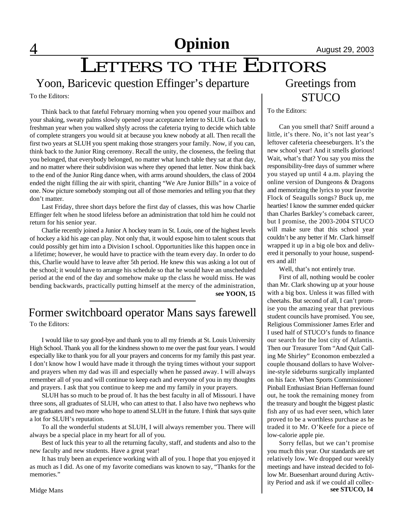LETTERS TO THE EDITORS

Yoon, Baricevic question Effinger's departure

To the Editors:

Think back to that fateful February morning when you opened your mailbox and your shaking, sweaty palms slowly opened your acceptance letter to SLUH. Go back to freshman year when you walked shyly across the cafeteria trying to decide which table of complete strangers you would sit at because you knew nobody at all. Then recall the first two years at SLUH you spent making those strangers your family. Now, if you can, think back to the Junior Ring ceremony. Recall the unity, the closeness, the feeling that you belonged, that everybody belonged, no matter what lunch table they sat at that day, and no matter where their subdivision was where they opened that letter. Now think back to the end of the Junior Ring dance when, with arms around shoulders, the class of 2004 ended the night filling the air with spirit, chanting "We Are Junior Bills" in a voice of one. Now picture somebody stomping out all of those memories and telling you that they don't matter.

Last Friday, three short days before the first day of classes, this was how Charlie Effinger felt when he stood lifeless before an administration that told him he could not return for his senior year.

Charlie recently joined a Junior A hockey team in St. Louis, one of the highest levels of hockey a kid his age can play. Not only that, it would expose him to talent scouts that could possibly get him into a Division I school. Opportunities like this happen once in a lifetime; however, he would have to practice with the team every day. In order to do this, Charlie would have to leave after 5th period. He knew this was asking a lot out of the school; it would have to arrange his schedule so that he would have an unscheduled period at the end of the day and somehow make up the class he would miss. He was bending backwards, practically putting himself at the mercy of the administration, **see YOON, 15**

# Former switchboard operator Mans says farewell

To the Editors:

I would like to say good-bye and thank you to all my friends at St. Louis University High School. Thank you all for the kindness shown to me over the past four years. I would especially like to thank you for all your prayers and concerns for my family this past year. I don't know how I would have made it through the trying times without your support and prayers when my dad was ill and especially when he passed away. I will always remember all of you and will continue to keep each and everyone of you in my thoughts and prayers. I ask that you continue to keep me and my family in your prayers.

SLUH has so much to be proud of. It has the best faculty in all of Missouri. I have three sons, all graduates of SLUH, who can attest to that. I also have two nephews who are graduates and two more who hope to attend SLUH in the future. I think that says quite a lot for SLUH's reputation.

To all the wonderful students at SLUH, I will always remember you. There will always be a special place in my heart for all of you.

Best of luck this year to all the returning faculty, staff, and students and also to the new faculty and new students. Have a great year!

It has truly been an experience working with all of you. I hope that you enjoyed it as much as I did. As one of my favorite comedians was known to say, "Thanks for the memories."

## Greetings from **STUCO**

To the Editors:

Can you smell that? Sniff around a little, it's there. No, it's not last year's leftover cafeteria cheeseburgers. It's the new school year! And it smells glorious! Wait, what's that? You say you miss the responsibility-free days of summer where you stayed up until 4 a.m. playing the online version of Dungeons & Dragons and memorizing the lyrics to your favorite Flock of Seagulls songs? Buck up, me hearties! I know the summer ended quicker than Charles Barkley's comeback career, but I promise, the 2003-2004 STUCO will make sure that this school year couldn't be any better if Mr. Clark himself wrapped it up in a big ole box and delivered it personally to your house, suspenders and all!

Well, that's not entirely true.

First of all, nothing would be cooler than Mr. Clark showing up at your house with a big box. Unless it was filled with cheetahs. But second of all, I can't promise you the amazing year that previous student councils have promised. You see, Religious Commissioner James Erler and I used half of STUCO's funds to finance our search for the lost city of Atlantis. Then our Treasurer Tom "And Quit Calling Me Shirley" Economon embezzled a couple thousand dollars to have Wolverine-style sideburns surgically implanted on his face. When Sports Commissioner/ Pinball Enthusiast Brian Heffernan found out, he took the remaining money from the treasury and bought the biggest plastic fish any of us had ever seen, which later proved to be a worthless purchase as he traded it to Mr. O'Keefe for a piece of low-calorie apple pie.

Sorry fellas, but we can't promise you much this year. Our standards are set relatively low. We dropped our weekly meetings and have instead decided to follow Mr. Buesenhart around during Activity Period and ask if we could all collec**see STUCO, 14**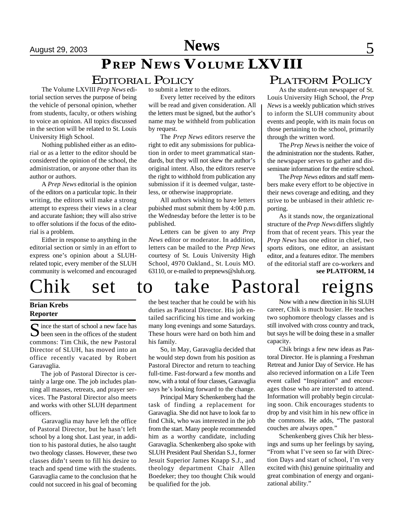# *PREP NEWS* **VOLUME LXVIII**

### EDITORIAL POLICY

The Volume LXVIII *Prep News* editorial section serves the purpose of being the vehicle of personal opinion, whether from students, faculty, or others wishing to voice an opinion. All topics discussed in the section will be related to St. Louis University High School.

Nothing published either as an editorial or as a letter to the editor should be considered the opinion of the school, the administration, or anyone other than its author or authors.

A *Prep News* editorial is the opinion of the editors on a particular topic. In their writing, the editors will make a strong attempt to express their views in a clear and accurate fashion; they will also strive to offer solutions if the focus of the editorial is a problem.

Either in response to anything in the editorial section or simly in an effort to express one's opinion about a SLUHrelated topic, every member of the SLUH community is welcomed and encouraged to submit a letter to the editors.

Every letter received by the editors will be read and given consideration. All the letters must be signed, but the author's name may be withheld from publication by request.

The *Prep News* editors reserve the right to edit any submissions for publication in order to meet grammatical standards, but they will not skew the author's original intent. Also, the editors reserve the right to withhold from publication any submission if it is deemed vulgar, tasteless, or otherwise inappropriate.

All authors wishing to have letters pubished must submit them by 4:00 p.m. the Wednesday before the letter is to be published.

Letters can be given to any *Prep News* editor or moderator. In addition, letters can be mailed to the *Prep News* courtesy of St. Louis University High School, 4970 Oakland., St. Louis MO. 63110, or e-mailed to prepnews@sluh.org.

### PLATFORM POLICY

As the student-run newspaper of St. Louis University High School, the *Prep News* is a weekly publication which strives to inform the SLUH community about events and people, with its main focus on those pertaining to the school, primarily through the written word.

The *Prep News* is neither the voice of the administration nor the students. Rather, the newspaper serves to gather and disseminate information for the entire school.

The *Prep News* editors and staff members make every effort to be objective in their news coverage and editing, and they strive to be unbiased in their athletic reporting.

As it stands now, the organizational structure of the *Prep News* differs slightly from that of recent years. This year the *Prep News* has one editor in chief, two sports editors, one editor, an assistant editor, and a features editor. The members of the editorial staff are co-workers and **see PLATFORM, 14**

# Chik set to take Pastoral reigns

### **Brian Krebs Reporter**

S ince the start of school a new face has<br>been seen in the offices of the student  $\sum$  been seen in the offices of the student commons: Tim Chik, the new Pastoral Director of SLUH, has moved into an office recently vacated by Robert Garavaglia.

The job of Pastoral Director is certainly a large one. The job includes planning all masses, retreats, and prayer services. The Pastoral Director also meets and works with other SLUH department officers.

Garavaglia may have left the office of Pastoral Director, but he hasn't left school by a long shot. Last year, in addition to his pastoral duties, he also taught two theology classes. However, these two classes didn't seem to fill his desire to teach and spend time with the students. Garavaglia came to the conclusion that he could not succeed in his goal of becoming

the best teacher that he could be with his duties as Pastoral Director. His job entailed sacrificing his time and working many long evenings and some Saturdays. These hours were hard on both him and his family.

So, in May, Garavaglia decided that he would step down from his position as Pastoral Director and return to teaching full-time. Fast-forward a few months and now, with a total of four classes, Garavaglia says he's looking forward to the change.

Principal Mary Schenkenberg had the task of finding a replacement for Garavaglia. She did not have to look far to find Chik, who was interested in the job from the start. Many people recommended him as a worthy candidate, including Garavaglia. Schenkenberg also spoke with SLUH President Paul Sheridan S.J., former Jesuit Superior James Knapp S.J., and theology department Chair Allen Boedeker; they too thought Chik would be qualified for the job.

Now with a new direction in his SLUH career, Chik is much busier. He teaches two sophomore theology classes and is still involved with cross country and track, but says he will be doing these in a smaller capacity.

Chik brings a few new ideas as Pastoral Director. He is planning a Freshman Retreat and Junior Day of Service. He has also recieved information on a Life Teen event called "Inspiration" and encourages those who are intersted to attend. Information will probably begin circulating soon. Chik encourages students to drop by and visit him in his new office in the commons. He adds, "The pastoral couches are always open."

Schenkenberg gives Chik her blessings and sums up her feelings by saying, "From what I've seen so far with Direction Days and start of school, I'm very excited with (his) genuine spirituality and great combination of energy and organizational ability."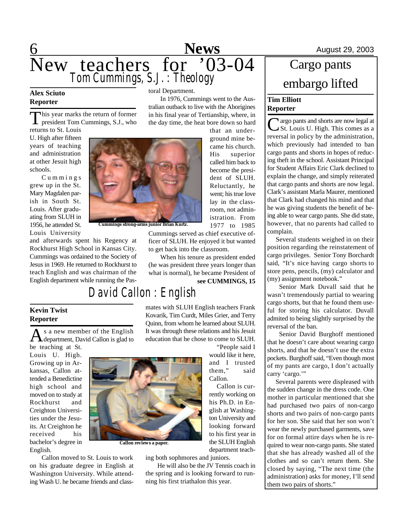

### **Alex Sciuto Reporter**

This year marks the return of former<br>president Tom Cummings, S.J., who his year marks the return of former

returns to St. Louis U. High after fifteen years of teaching and administration at other Jesuit high schools.

C u m m i n g s grew up in the St. Mary Magdalen parish in South St. Louis. After graduating from SLUH in 1956, he attended St. Louis University

**Kevin Twist Reporter**

be teaching at St. Louis U. High. Growing up in Arkansas, Callon attended a Benedictine high school and moved on to study at Rockhurst and Creighton Universities under the Jesuits. At Creighton he received his bachelor's degree in

English.

and afterwards spent his Regency at Rockhurst High School in Kansas City. Cummings was ordained to the Society of Jesus in 1969. He returned to Rockhurst to teach English and was chairman of the English department while running the Pas-

s a new member of the English

#### toral Department.

In 1976, Cummings went to the Australian outback to live with the Aborigines in his final year of Tertianship, where, in the day time, the heat bore down so hard

that an underground mine became his church. His superior called him back to become the president of SLUH. Reluctantly, he went; his true love lay in the classroom, not administration. From 1977 to 1985

**Cummings strong-arms junior Brian Kurtz.**

Cummings served as chief executive officer of SLUH. He enjoyed it but wanted to get back into the classroom.

When his tenure as president ended (he was president three years longer than what is normal), he became President of

**see CUMMINGS, 15**

"People said I would like it here,

looking forward to his first year in the SLUH English department teach-

# *David Callon : English*

mates with SLUH English teachers Frank Kovarik, Tim Curdt, Miles Grier, and Terry Quinn, from whom he learned about SLUH. It was through these relations and his Jesuit education that he chose to come to SLUH.

As a new member of the English<br>department, David Callon is glad to

**Callon reviews a paper.**

Callon moved to St. Louis to work on his graduate degree in English at Washington University. While attending Wash U. he became friends and class-



ing both sophmores and juniors.

He will also be the JV Tennis coach in the spring and is looking forward to running his first triathalon this year.

# Cargo pants embargo lifted

#### **Tim Elliott Reporter**

C argo pants and shorts are now legal at<br>
C St. Louis U. High. This comes as a St. Louis U. High. This comes as a reversal in policy by the administration, which previously had intended to ban cargo pants and shorts in hopes of reducing theft in the school. Assistant Principal for Student Affairs Eric Clark declined to explain the change, and simply reiterated that cargo pants and shorts are now legal. Clark's assistant Marla Maurer, mentioned that Clark had changed his mind and that he was giving students the benefit of being able to wear cargo pants. She did state, however, that no parents had called to complain.

 Several students weighed in on their position regarding the reinstatement of cargo privileges. Senior Tony Borchardt said, "It's nice having cargo shorts to store pens, pencils, (my) calculator and (my) assignment notebook."

Senior Mark Duvall said that he wasn't tremendously partial to wearing cargo shorts, but that he found them useful for storing his calculator. Duvall admited to being slightly surprised by the reversal of the ban.

Senior David Burghoff mentioned that he doesn't care about wearing cargo shorts, and that he doesn't use the extra pockets. Burghoff said, "Even though most of my pants are cargo, I don't actually carry 'cargo.'"

 Several parents were displeased with the sudden change in the dress code. One mother in particular mentioned that she had purchased two pairs of non-cargo shorts and two pairs of non-cargo pants for her son. She said that her son won't wear the newly purchased garments, save for on formal attire days when he is required to wear non-cargo pants. She stated that she has already washed all of the clothes and so can't return them. She closed by saying, "The next time (the administration) asks for money, I'll send them two pairs of shorts."

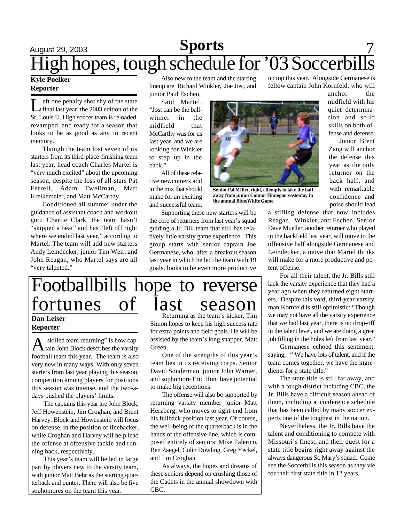# August 29, 2003 **Sports** 7 High hopes, tough schedule for '03 Soccerbills

#### **Kyle Poelker Reporter**

**Let** one penalty shot shy of the state<br>final last year, the 2003 edition of the eft one penalty shot shy of the state St. Louis U. High soccer team is reloaded, revamped, and ready for a season that looks to be as good as any in recent memory.

Though the team lost seven of its starters from its third-place-finishing team last year, head coach Charles Martel is "very much excited" about the upcoming season, despite the loss of all-stars Pat Ferrell, Adam Twellman, Matt Kreikemeier, and Matt McCarthy.

Conditioned all summer under the guidance of assistant coach and workout guru Charlie Clark, the team hasn't "skipped a beat" and has "left off right where we ended last year," according to Martel. The team will add new starters Andy Leindecker, junior Tim Weir, and John Reagan, who Martel says are all "very talented."

Also new to the team and the starting lineup are Richard Winkler, Joe Jost, and junior Paul Eschen.

Said Martel, "Jost can be the ballwinner in the midfield that McCarthy was for us last year, and we are looking for Winkler to step up in the back."

All of these relative newcomers add to the mix that should make for an exciting and successful team.

Supporting these new starters will be the core of returners from last year's squad guiding a Jr. Bill team that still has relatively little varsity game experience. This group starts with senior captain Joe Germanese, who, after a breakout season last year in which he led the team with 19 goals, looks to be even more productive



**Senior Pat Miller, right, attempts to take the ball away from junior Connor Finnegan yesterday in the annual Blue/White Game.**

up top this year. Alongside Germanese is fellow captain John Kornfeld, who will

anchor the midfield with his quiet determination and solid skills on both offense and defense.

Junior Brent Zang will anchor the defense this year as the only returner on the back half, and with remarkable confidence and poise should lead

a stifling defense that now includes Reagan, Winkler, and Eschen. Senior Dave Mueller, another returner who played in the backfield last year, will move to the offensive half alongside Germanese and Leindecker, a move that Martel thinks will make for a more productive and potent offense.

For all their talent, the Jr. Bills still lack the varsity experience that they had a year ago when they returned eight starters. Despite this void, third-year varsity man Kornfeld is still optimistic: "Though we may not have all the varsity experience that we had last year, there is no drop-off in the talent level, and we are doing a great job filling in the holes left from last year."

Germanese echoed this sentiment, saying, " We have lots of talent, and if the team comes together, we have the ingredients for a state title."

The state title is still far away, and with a tough district including CBC, the Jr. Bills have a difficult season ahead of them, including a conference schedule that has been called by many soccer experts one of the toughest in the nation.

Nevertheless, the Jr. Bills have the talent and conditioning to compete with Missouri's finest, and their quest for a state title begins right away against the always dangerous St. Mary's squad. Come see the Soccerbills this season as they vie for their first state title in 12 years.

# Footballbills hope to reverse fortunes of last season

#### **Dan Leiser Reporter**

A skilled team returning" is how cap-<br>tain John Block describes the varsity skilled team returning" is how capfootball team this year. The team is also very new in many ways. With only seven starters from last year playing this season, competition among players for positions this season was intense, and the two-adays pushed the players' limits.

The captains this year are John Block, Jeff Howenstein, Jim Croghan, and Brent Harvey. Block and Howenstein will focus on defense, in the position of linebacker, while Croghan and Harvey will help lead the offense at offensive tackle and running back, respectively.

This year's team will be led in large part by players new to the varsity team, with junior Matt Behr as the starting quarterback and punter. There will also be five sophomores on the team this year.

Returning as the team's kicker, Tim Simon hopes to keep his high success rate for extra points and field goals. He will be assisted by the team's long snapper, Matt Green.

One of the strengths of this year's team lies in its receiving corps. Senior David Sonderman, junior John Warner, and sophomore Eric Hunt have potential to make big receptions.

The offense will also be supported by returning varsity member junior Matt Herzberg, who moves to tight-end from his fullback position last year. Of course, the well-being of the quarterback is in the hands of the offensive line, which is composed entirely of seniors: Mike Talerico, Ben Zaegel, Colin Dowling, Greg Yeckel, and Jim Croghan.

As always, the hopes and dreams of these seniors depend on crushing those of the Cadets in the annual showdown with CBC.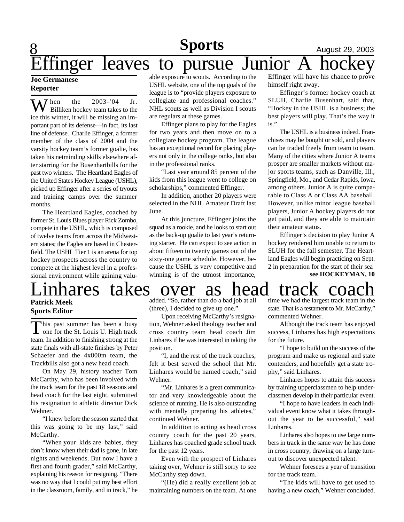# **8 Sports August 29, 2003** Effinger leaves to pursue Junior A hockey

#### **Joe Germanese Reporter**

When the 2003-'04 Jr.<br>Billiken hockey team takes to the ice this winter, it will be missing an important part of its defense—in fact, its last line of defense. Charlie Effinger, a former member of the class of 2004 and the varsity hockey team's former goalie, has taken his netminding skills elsewhere after starring for the Busenhartbills for the past two winters. The Heartland Eagles of the United States Hockey League (USHL), picked up Effinger after a series of tryouts and training camps over the summer months.

The Heartland Eagles, coached by former St. Louis Blues player Rick Zombo, compete in the USHL, which is composed of twelve teams from across the Midwestern states; the Eagles are based in Chesterfield. The USHL Tier 1 is an arena for top hockey prospects across the country to compete at the highest level in a professional environment while gaining valuable exposure to scouts. According to the USHL website, one of the top goals of the league is to "provide players exposure to collegiate and professional coaches." NHL scouts as well as Division I scouts are regulars at these games.

Effinger plans to play for the Eagles for two years and then move on to a collegiate hockey program. The league has an exceptional record for placing players not only in the college ranks, but also in the professional ranks.

"Last year around 85 percent of the kids from this league went to college on scholarships," commented Effinger.

In addition, another 20 players were selected in the NHL Amateur Draft last June.

At this juncture, Effinger joins the squad as a rookie, and he looks to start out as the back-up goalie to last year's returning starter. He can expect to see action in about fifteen to twenty games out of the sixty-one game schedule. However, because the USHL is very competitive and winning is of the utmost importance,

Effinger will have his chance to prove himself right away.

Effinger's former hockey coach at SLUH, Charlie Busenhart, said that, "Hockey in the USHL is a business; the best players will play. That's the way it is."

The USHL is a business indeed. Franchises may be bought or sold, and players can be traded freely from team to team. Many of the cities where Junior A teams prosper are smaller markets without major sports teams, such as Danville, Ill., Springfield, Mo., and Cedar Rapids, Iowa, among others. Junior A is quite comparable to Class A or Class AA baseball. However, unlike minor league baseball players, Junior A hockey players do not get paid, and they are able to maintain their amateur status.

Effinger's decision to play Junior A hockey rendered him unable to return to SLUH for the fall semester. The Heartland Eagles will begin practicing on Sept. 2 in preparation for the start of their sea **see HOCKEYMAN, 10**

# Linhares takes over as head track coach

#### **Patrick Meek Sports Editor**

This past summer has been a busy<br>one for the St. Louis U. High track his past summer has been a busy team. In addition to finishing strong at the state finals with all-state finishes by Peter Schaefer and the 4x800m team, the Trackbills also got a new head coach.

On May 29, history teacher Tom McCarthy, who has been involved with the track team for the past 18 seasons and head coach for the last eight, submitted his resignation to athletic director Dick Wehner.

"I knew before the season started that this was going to be my last," said McCarthy.

"When your kids are babies, they don't know when their dad is gone, in late nights and weekends. But now I have a first and fourth grader," said McCarthy, explaining his reason for resigning. "There was no way that I could put my best effort in the classroom, family, and in track," he added. "So, rather than do a bad job at all (three), I decided to give up one."

Upon receiving McCarthy's resignation, Wehner asked theology teacher and cross country team head coach Jim Linhares if he was interested in taking the position.

"I, and the rest of the track coaches, felt it best served the school that Mr. Linhares would be named coach," said Wehner.

"Mr. Linhares is a great communicator and very knowledgeable about the science of running. He is also outstanding with mentally preparing his athletes," continued Wehner.

In addition to acting as head cross country coach for the past 20 years, Linhares has coached grade school track for the past 12 years.

Even with the prospect of Linhares taking over, Wehner is still sorry to see McCarthy step down.

"(He) did a really excellent job at maintaining numbers on the team. At one time we had the largest track team in the state. That is a testament to Mr. McCarthy," commented Wehner.

Although the track team has enjoyed success, Linhares has high expectations for the future.

"I hope to build on the success of the program and make us regional and state contenders, and hopefully get a state trophy," said Linhares.

Linhares hopes to attain this success by training upperclassmen to help underclassmen develop in their particular event.

"I hope to have leaders in each individual event know what it takes throughout the year to be successful," said Linhares.

Linhares also hopes to use large numbers in track in the same way he has done in cross country, drawing on a large turnout to discover unexpected talent.

Wehner foresees a year of transition for the track team.

"The kids will have to get used to having a new coach," Wehner concluded.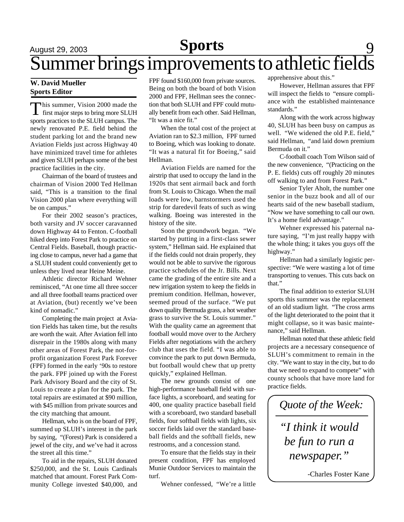# August 29, 2003 **Sports** 9 Summer brings improvements to athletic fields

#### **W. David Mueller Sports Editor**

This summer, Vision 2000 made the<br>first major steps to bring more SLUH his summer, Vision 2000 made the sports practices to the SLUH campus. The newly renovated P.E. field behind the student parking lot and the brand new Aviation Fields just across Highway 40 have minimized travel time for athletes and given SLUH perhaps some of the best practice facilities in the city.

Chairman of the board of trustees and chairman of Vision 2000 Ted Hellman said, "This is a transition to the final Vision 2000 plan where everything will be on campus."

For their 2002 season's practices, both varsity and JV soccer caravanned down Highway 44 to Fenton. C-football hiked deep into Forest Park to practice on Central Fields. Baseball, though practicing close to campus, never had a game that a SLUH student could conveniently get to unless they lived near Heine Meine.

Athletic director Richard Wehner reminisced, "At one time all three soccer and all three football teams practiced over at Aviation, (but) recently we've been kind of nomadic."

Completing the main project at Aviation Fields has taken time, but the results are worth the wait. After Aviation fell into disrepair in the 1980s along with many other areas of Forest Park, the not-forprofit organization Forest Park Forever (FPF) formed in the early '90s to restore the park. FPF joined up with the Forest Park Advisory Board and the city of St. Louis to create a plan for the park. The total repairs are estimated at \$90 million, with \$45 million from private sources and the city matching that amount.

Hellman, who is on the board of FPF, summed up SLUH's interest in the park by saying, "(Forest) Park is considered a jewel of the city, and we've had it across the street all this time."

To aid in the repairs, SLUH donated \$250,000, and the St. Louis Cardinals matched that amount. Forest Park Community College invested \$40,000, and FPF found \$160,000 from private sources. Being on both the board of both Vision 2000 and FPF, Hellman sees the connection that both SLUH and FPF could mutually benefit from each other. Said Hellman, "It was a nice fit."

When the total cost of the project at Aviation ran to \$2.3 million, FPF turned to Boeing, which was looking to donate. "It was a natural fit for Boeing," said Hellman.

Aviation Fields are named for the airstrip that used to occupy the land in the 1920s that sent airmail back and forth from St. Louis to Chicago. When the mail loads were low, barnstormers used the strip for daredevil feats of such as wing walking. Boeing was interested in the history of the site.

Soon the groundwork began. "We started by putting in a first-class sewer system," Hellman said. He explained that if the fields could not drain properly, they would not be able to survive the rigorous practice schedules of the Jr. Bills. Next came the grading of the entire site and a new irrigation system to keep the fields in premium condition. Hellman, however, seemed proud of the surface. "We put down quality Bermuda grass, a hot weather grass to survive the St. Louis summer." With the quality came an agreement that football would move over to the Archery Fields after negotiations with the archery club that uses the field. "I was able to convince the park to put down Bermuda, but football would chew that up pretty quickly," explained Hellman.

The new grounds consist of one high-performance baseball field with surface lights, a scoreboard, and seating for 400, one quality practice baseball field with a scoreboard, two standard baseball fields, four softball fields with lights, six soccer fields laid over the standard baseball fields and the softball fields, new restrooms, and a concession stand.

To ensure that the fields stay in their present condition, FPF has employed Munie Outdoor Services to maintain the turf.

Wehner confessed, "We're a little

apprehensive about this."

However, Hellman assures that FPF will inspect the fields to "ensure compliance with the established maintenance standards."

Along with the work across highway 40, SLUH has been busy on campus as well. "We widened the old P.E. field," said Hellman, "and laid down premium Bermuda on it."

C-football coach Tom Wilson said of the new convenience, "(Practicing on the P. E. fields) cuts off roughly 20 minutes off walking to and from Forest Park."

Senior Tyler Aholt, the number one senior in the buzz book and all of our hearts said of the new baseball stadium, "Now we have something to call our own. It's a home field advantage."

Wehner expressed his paternal nature saying, "I'm just really happy with the whole thing; it takes you guys off the highway."

Hellman had a similarly logistic perspective: "We were wasting a lot of time transporting to venues. This cuts back on that."

The final addition to exterior SLUH sports this summer was the replacement of an old stadium light. "The cross arms of the light deteriorated to the point that it might collapse, so it was basic maintenance," said Hellman.

Hellman noted that these athletic field projects are a necessary consequence of SLUH's commitment to remain in the city. "We want to stay in the city, but to do that we need to expand to compete" with county schools that have more land for practice fields.



-Charles Foster Kane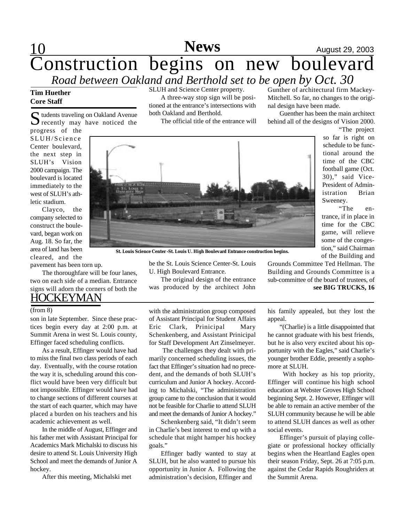## 10 **News** August 29, 2003 Construction begins on new boulevard *Road between Oakland and Berthold set to be open by Oct. 30* **News**

#### **Tim Huether Core Staff**

S tudents traveling on Oakland Avenue<br>
S recently may have noticed the  $\sum$  recently may have noticed the

progress of the SLUH/Science Center boulevard, the next step in SLUH's Vision 2000 campaign. The boulevard is located immediately to the west of SLUH's athletic stadium.

Clayco, the company selected to construct the boulevard, began work on Aug. 18. So far, the area of land has been cleared, and the pavement has been torn up.

The thoroughfare will be four lanes,

**HOCKEYMAN** two on each side of a median. Entrance signs will adorn the corners of both the

son in late September. Since these practices begin every day at 2:00 p.m. at Summit Arena in west St. Louis county, Effinger faced scheduling conflicts.

As a result, Effinger would have had to miss the final two class periods of each day. Eventually, with the course rotation the way it is, scheduling around this conflict would have been very difficult but not impossible. Effinger would have had to change sections of different courses at the start of each quarter, which may have placed a burden on his teachers and his academic achievement as well.

In the middle of August, Effinger and his father met with Assistant Principal for Academics Mark Michalski to discuss his desire to attend St. Louis University High School and meet the demands of Junior A hockey.

After this meeting, Michalski met

SLUH and Science Center property.

A three-way stop sign will be positioned at the entrance's intersections with both Oakland and Berthold.

The official title of the entrance will

Gunther of architectural firm Mackey-Mitchell. So far, no changes to the original design have been made.

Guenther has been the main architect behind all of the designs of Vision 2000.



**St. Louis Science Center -St. Louis U. High Boulevard Entrance construction begins.**

be the St. Louis Science Center-St. Louis U. High Boulevard Entrance.

The original design of the entrance was produced by the architect John

> his family appealed, but they lost the appeal.

> Grounds Committee Ted Hellman. The Building and Grounds Committee is a sub-committee of the board of trustees, of

> "(Charlie) is a little disappointed that he cannot graduate with his best friends, but he is also very excited about his opportunity with the Eagles," said Charlie's younger brother Eddie, presently a sophomore at SLUH.

> With hockey as his top priority, Effinger will continue his high school education at Webster Groves High School beginning Sept. 2. However, Effinger will be able to remain an active member of the SLUH community because he will be able to attend SLUH dances as well as other social events.

> Effinger's pursuit of playing collegiate or professional hockey officially begins when the Heartland Eagles open their season Friday, Sept. 26 at 7:05 p.m. against the Cedar Rapids Roughriders at the Summit Arena.

(from 8) with the administration group composed of Assistant Principal for Student Affairs Eric Clark, Prinicipal Mary Schenkenberg, and Assistant Prinicipal for Staff Development Art Zinselmeyer.

> The challenges they dealt with primarily concerned scheduling issues, the fact that Effinger's situation had no precedent, and the demands of both SLUH's curriculum and Junior A hockey. According to Michalski, "The administration group came to the conclusion that it would not be feasible for Charlie to attend SLUH and meet the demands of Junior A hockey."

> Schenkenberg said, "It didn't seem in Charlie's best interest to end up with a schedule that might hamper his hockey goals."

> Effinger badly wanted to stay at SLUH, but he also wanted to pursue his opportunity in Junior A. Following the administration's decision, Effinger and

"The project so far is right on schedule to be functional around the time of the CBC football game (Oct. 30)," said Vice-President of Administration Brian Sweeney.

"The entrance, if in place in time for the CBC game, will relieve some of the congestion," said Chairman of the Building and

**see BIG TRUCKS, 16**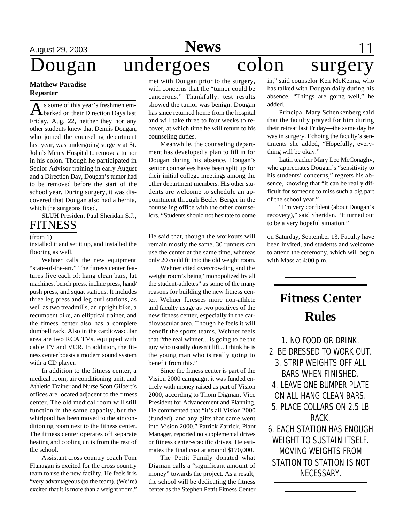# Dougan undergoes colon surgery

#### **Matthew Paradise Reporter**

As some of this year's freshmen em-<br>Abarked on their Direction Days last s some of this year's freshmen em-Friday, Aug. 22, neither they nor any other students knew that Dennis Dougan, who joined the counseling department last year, was undergoing surgery at St. John's Mercy Hospital to remove a tumor in his colon. Though he participated in Senior Advisor training in early August and a Direction Day, Dougan's tumor had to be removed before the start of the school year. During surgery, it was discovered that Dougan also had a hernia, which the surgeons fixed.

SLUH President Paul Sheridan S.J., **FITNESS** 

#### (from 1)

installed it and set it up, and installed the flooring as well.

Wehner calls the new equipment "state-of-the-art." The fitness center features five each of: hang clean bars, lat machines, bench press, incline press, hand/ push press, and squat stations. It includes three leg press and leg curl stations, as well as two treadmills, an upright bike, a recumbent bike, an elliptical trainer, and the fitness center also has a complete dumbell rack. Also in the cardiovascular area are two RCA TVs, equipped with cable TV and VCR. In addition, the fitness center boasts a modern sound system with a CD player.

In addition to the fitness center, a medical room, air conditioning unit, and Athletic Trainer and Nurse Scott Gilbert's offices are located adjacent to the fitness center. The old medical room will still function in the same capacity, but the whirlpool has been moved to the air conditioning room next to the fitness center. The fitness center operates off separate heating and cooling units from the rest of the school.

Assistant cross country coach Tom Flanagan is excited for the cross country team to use the new facility. He feels it is "very advantageous (to the team). (We're) excited that it is more than a weight room."

met with Dougan prior to the surgery, with concerns that the "tumor could be cancerous." Thankfully, test results showed the tumor was benign. Dougan has since returned home from the hospital and will take three to four weeks to recover, at which time he will return to his counseling duties.

Meanwhile, the counseling department has developed a plan to fill in for Dougan during his absence. Dougan's senior counselees have been split up for their initial college meetings among the other department members. His other students are welcome to schedule an appointment through Becky Berger in the counseling office with the other counselors. "Students should not hesitate to come

He said that, though the workouts will remain mostly the same, 30 runners can use the center at the same time, whereas only 20 could fit into the old weight room.

Wehner cited overcrowding and the weight room's being "monopolized by all the student-athletes" as some of the many reasons for building the new fitness center. Wehner foresees more non-athlete and faculty usage as two positives of the new fitness center, especially in the cardiovascular area. Though he feels it will benefit the sports teams, Wehner feels that "the real winner... is going to be the guy who usually doesn't lift... I think he is the young man who is really going to benefit from this."

Since the fitness center is part of the Vision 2000 campaign, it was funded entirely with money raised as part of Vision 2000, according to Thom Digman, Vice President for Advancement and Planning. He commented that "it's all Vision 2000 (funded), and any gifts that came went into Vision 2000." Patrick Zarrick, Plant Manager, reported no supplemental drives or fitness center-specific drives. He estimates the final cost at around \$170,000.

The Pettit Family donated what Digman calls a "significant amount of money" towards the project. As a result, the school will be dedicating the fitness center as the Stephen Pettit Fitness Center in," said counselor Ken McKenna, who has talked with Dougan daily during his absence. "Things are going well," he added.

Principal Mary Schenkenberg said that the faculty prayed for him during their retreat last Friday—the same day he was in surgery. Echoing the faculty's sentiments she added, "Hopefully, everything will be okay."

Latin teacher Mary Lee McConaghy, who appreciates Dougan's "sensitivity to his students' concerns," regrets his absence, knowing that "it can be really difficult for someone to miss such a big part of the school year."

"I'm very confident (about Dougan's recovery)," said Sheridan. "It turned out to be a very hopeful situation."

on Saturday, September 13. Faculty have been invited, and students and welcome to attend the ceremony, which will begin with Mass at 4:00 p.m.

# **Fitness Center Rules**

1. NO FOOD OR DRINK. 2. BE DRESSED TO WORK OUT. 3. STRIP WEIGHTS OFF ALL BARS WHEN FINISHED. 4. LEAVE ONE BUMPER PLATE ON ALL HANG CLEAN BARS. 5. PLACE COLLARS ON 2.5 LB RACK. 6. EACH STATION HAS ENOUGH WEIGHT TO SUSTAIN ITSELF.

MOVING WEIGHTS FROM STATION TO STATION IS NOT NECESSARY.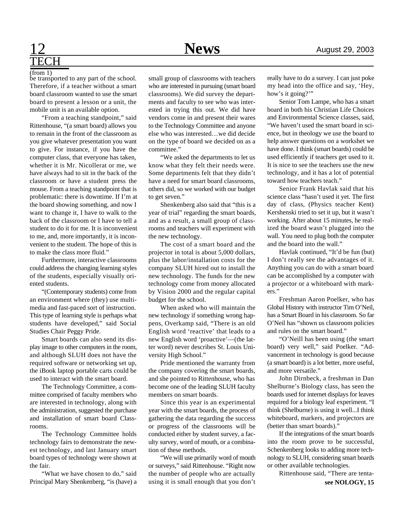# ECH

be transported to any part of the school. Therefore, if a teacher without a smart board classroom wanted to use the smart board to present a lesson or a unit, the mobile unit is an available option. (from 1)

"From a teaching standpoint," said Rittenhouse, "(a smart board) allows you to remain in the front of the classroom as you give whatever presentation you want to give. For instance, if you have the computer class, that everyone has taken, whether it is Mr. Nicollerat or me, we have always had to sit in the back of the classroom or have a student press the mouse. From a teaching standpoint that is problematic: there is downtime. If I'm at the board showing something, and now I want to change it, I have to walk to the back of the classroom or I have to tell a student to do it for me. It is inconvenient to me, and, more importantly, it is inconvenient to the student. The hope of this is to make the class more fluid."

Furthermore, interactive classrooms could address the changing learning styles of the students, especially visually oriented students.

"(Contemporary students) come from an environment where (they) use multimedia and fast-paced sort of instruction. This type of learning style is perhaps what students have developed," said Social Studies Chair Peggy Pride.

Smart boards can also send its display image to other computers in the room, and although SLUH does not have the required software or networking set up, the iBook laptop portable carts could be used to interact with the smart board.

The Technology Committee, a committee comprised of faculty members who are interested in technology, along with the administration, suggested the purchase and installation of smart board Classrooms.

The Technology Committee holds technology fairs to demonstrate the newest technology, and last January smart board types of technology were shown at the fair.

"What we have chosen to do," said Principal Mary Shenkenberg, "is (have) a small group of classrooms with teachers who are interested in pursuing (smart board classrooms). We did survey the departments and faculty to see who was interested in trying this out. We did have vendors come in and present their wares to the Technology Committee and anyone else who was interested…we did decide on the type of board we decided on as a committee."

"We asked the departments to let us know what they felt their needs were. Some departments felt that they didn't have a need for smart board classrooms, others did, so we worked with our budget to get seven."

Shenkenberg also said that "this is a year of trial" regarding the smart boards, and as a result, a small group of classrooms and teachers will experiment with the new technology.

The cost of a smart board and the projector in total is about 5,000 dollars, plus the labor/installation costs for the company SLUH hired out to install the new technology. The funds for the new technology come from money allocated by Vision 2000 and the regular capital budget for the school.

When asked who will maintain the new technology if something wrong happens, Overkamp said, "There is an old English word 'reactive' that leads to a new English word 'proactive'—(the latter word) never describes St. Louis University High School."

Pride mentioned the warranty from the company covering the smart boards, and she pointed to Rittenhouse, who has become one of the leading SLUH faculty members on smart boards.

Since this year is an experimental year with the smart boards, the process of gathering the data regarding the success or progress of the classrooms will be conducted either by student survey, a faculty survey, word of mouth, or a combination of these methods.

"We will use primarily word of mouth or surveys," said Rittenhouse. "Right now the number of people who are actually using it is small enough that you don't

really have to do a survey. I can just poke my head into the office and say, 'Hey, how's it going?"

Senior Tom Lampe, who has a smart board in both his Christian Life Choices and Environmental Science classes, said, "We haven't used the smart board in science, but in theology we use the board to help answer questions on a workshet we have done. I think (smart boards) could be used efficiently if teachers get used to it. It is nice to see the teachers use the new technology, and it has a lot of potential toward how teachers teach."

Senior Frank Havlak said that his science class "hasn't used it yet. The first day of class, (Physics teacher Kent) Kershenski tried to set it up, but it wasn't working. After about 15 minutes, he realized the board wasn't plugged into the wall. You need to plug both the computer and the board into the wall."

Havlak continued, "It'd be fun (but) I don't really see the advantages of it. Anything you can do with a smart board can be accomplished by a computer with a projector or a whiteboard with markers."

Freshman Aaron Poelker, who has Global History with instructor Tim O'Neil, has a Smart Board in his classroom. So far O'Neil has "shown us classroom policies and rules on the smart board."

"O'Neill has been using (the smart board) very well," said Poelker. "Advancement in technology is good because (a smart board) is a lot better, more useful, and more versatile."

John Dirnbeck, a freshman in Dan Shelburne's Biology class, has seen the boards used for internet displays for leaves required for a biology leaf experiment. "I think (Shelburne) is using it well...I think whiteboard, markers, and projectors are (better than smart boards)."

If the integrations of the smart boards into the room prove to be successful, Schenkenberg looks to adding more technology to SLUH, considering smart boards or other available technologies.

Rittenhouse said, "There are tenta**see NOLOGY, 15**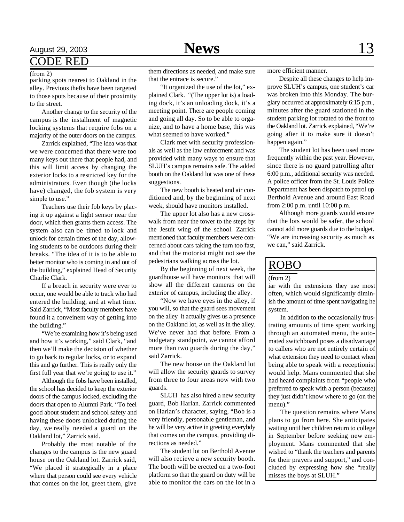# August 29, 2003 **News** 13

### CODE RED

parking spots nearest to Oakland in the alley. Previous thefts have been targeted to those spots because of their proximity to the street*.*

Another change to the security of the campus is the installment of magnetic locking systems that require fobs on a majority of the outer doors on the campus.

Zarrick explained, "The idea was that we were concerned that there were too many keys out there that people had, and this will limit access by changing the exterior locks to a restricted key for the administrators. Even though (the locks have) changed, the fob system is very simple to use."

Teachers use their fob keys by placing it up against a light sensor near the door, which then grants them access. The system also can be timed to lock and unlock for certain times of the day, allowing students to be outdoors during their breaks. "The idea of it is to be able to better monitor who is coming in and out of the building," explained Head of Security Charlie Clark.

If a breach in security were ever to occur, one would be able to track who had entered the building, and at what time. Said Zarrick, "Most faculty members have found it a conveinent way of getting into the building."

"We're examining how it's being used and how it's working," said Clark, "and then we'll make the decision of whether to go back to regular locks, or to expand this and go further. This is really only the first full year that we're going to use it."

Although the fobs have been installed, the school has decided to keep the exterior doors of the campus locked, excluding the doors that open to Alumni Park. "To feel good about student and school safety and having these doors unlocked during the day, we really needed a guard on the Oakland lot," Zarrick said.

Probably the most notable of the changes to the campus is the new guard house on the Oakland lot. Zarrick said, "We placed it strategically in a place where that person could see every vehicle that comes on the lot, greet them, give

(from 2) them directions as needed, and make sure more efficient manner. that the entrace is secure."

> "It organized the use of the lot," explained Clark. "(The upper lot is) a loading dock, it's an unloading dock, it's a meeting point. There are people coming and going all day. So to be able to organize, and to have a home base, this was what seemed to have worked."

> Clark met with security professionals as well as the law enforcment and was provided with many ways to ensure that SLUH's campus remains safe. The added booth on the Oakland lot was one of these suggestions.

> The new booth is heated and air conditioned and, by the beginning of next week, should have monitors installed.

> The upper lot also has a new crosswalk from near the tower to the steps by the Jesuit wing of the school. Zarrick mentioned that faculty members were concerned about cars taking the turn too fast, and that the motorist might not see the pedestrians walking across the lot.

> By the beginning of next week, the guardhouse will have monitors that will show all the different cameras on the exterior of campus, including the alley.

> "Now we have eyes in the alley, if you will, so that the guard sees movement on the alley it actually gives us a presence on the Oakland lot, as well as in the alley. We've never had that before. From a budgetary standpoint, we cannot afford more than two guards during the day," said Zarrick.

> The new house on the Oakland lot will allow the security guards to survey from three to four areas now with two guards.

> SLUH has also hired a new security guard, Bob Harlan. Zarrick commented on Harlan's character, saying, "Bob is a very friendly, personable gentleman, and he will be very active in greeting everybdy that comes on the campus, providing directions as needed."

> The student lot on Berthold Avenue will also recieve a new security booth. The booth will be erected on a two-foot platform so that the guard on duty will be able to monitor the cars on the lot in a

Despite all these changes to help improve SLUH's campus, one student's car was broken into this Monday. The burglary occurred at approximately 6:15 p.m., minutes after the guard stationed in the student parking lot rotated to the front to the Oakland lot. Zarrick explained, "We're going after it to make sure it doesn't happen again."

The student lot has been used more frequently within the past year. However, since there is no guard patrolling after 6:00 p.m., additional security was needed. A police officer from the St. Louis Police Department has been dispatch to patrol up Berthold Avenue and around East Road from 2:00 p.m. until 10:00 p.m.

Although more guards would ensure that the lots would be safer, the school cannot add more guards due to the budget. "We are increasing security as much as we can," said Zarrick.

### ROBO

#### (from 2)

iar with the extensions they use most often, which would significantly diminish the amount of time spent navigating he system.

In addition to the occasionally frustrating amounts of time spent working through an automated menu, the automated switchboard poses a disadvantage to callers who are not entirely certain of what extension they need to contact when being able to speak with a receptionist would help. Mans commented that she had heard complaints from "people who preferred to speak with a person (because) they just didn't know where to go (on the menu)."

The question remains where Mans plans to go from here. She anticipates waiting until her children return to college in September before seeking new employment. Mans commented that she wished to "thank the teachers and parents for their prayers and support," and concluded by expressing how she "really misses the boys at SLUH."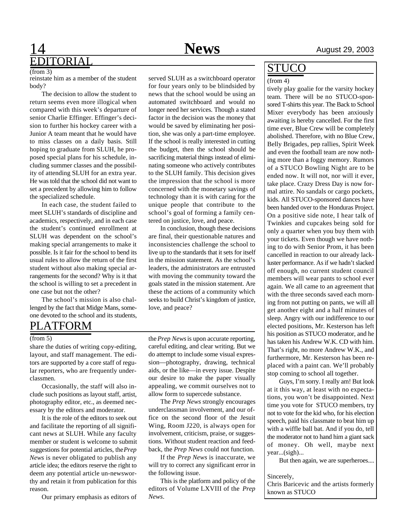## 14 **News** August 29, 2003 **DITORIAL**

#### (from 3)

reinstate him as a member of the student body?

The decision to allow the student to return seems even more illogical when compared with this week's departure of senior Charlie Effinger. Effinger's decision to further his hockey career with a Junior A team meant that he would have to miss classes on a daily basis. Still hoping to graduate from SLUH, he proposed special plans for his schedule, including summer classes and the possibility of attending SLUH for an extra year. He was told that the school did not want to set a precedent by allowing him to follow the specialized schedule.

In each case, the student failed to meet SLUH's standards of discipline and academics, respectively, and in each case the student's continued enrollment at SLUH was dependent on the school's making special arrangements to make it possible. Is it fair for the school to bend its usual rules to allow the return of the first student without also making special arrangements for the second? Why is it that the school is willing to set a precedent in one case but not the other?

The school's mission is also challenged by the fact that Midge Mans, someone devoted to the school and its students,

## PLATFORM

#### (from 5)

share the duties of writing copy-editing, layout, and staff management. The editors are supported by a core staff of regular reporters, who are frequently underclassmen.

Occasionally, the staff will also include such positions as layout staff, artist, photography editor, etc., as deemed necessary by the editors and moderator.

It is the role of the editors to seek out and facilitate the reporting of all significant news at SLUH. While any faculty member or student is welcome to submit suggestions for potential articles, the *Prep News* is never obligated to publish any article idea; the editors reserve the right to deem any potential article un-newsworthy and retain it from publication for this reason.

Our primary emphasis as editors of

served SLUH as a switchboard operator for four years only to be blindsided by news that the school would be using an automated switchboard and would no longer need her services. Though a stated factor in the decision was the money that would be saved by eliminating her position, she was only a part-time employee. If the school is really interested in cutting the budget, then the school should be sacrificing material things instead of eliminating someone who actively contributes to the SLUH family. This decision gives the impression that the school is more concerned with the monetary savings of technology than it is with caring for the unique people that contribute to the school's goal of forming a family centered on justice, love, and peace.

In conclusion, though these decisions are final, their questionable natures and inconsistencies challenge the school to live up to the standards that it sets for itself in the mission statement. As the school's leaders, the administrators are entrusted with moving the community toward the goals stated in the mission statement. Are these the actions of a community which seeks to build Christ's kingdom of justice, love, and peace?

the *Prep News* is upon accurate reporting, careful editing, and clear writing. But we do attempt to include some visual expression—photography, drawing, technical aids, or the like—in every issue. Despite our desire to make the paper visually appealing, we commit ourselves not to allow form to supercede substance.

The *Prep News* strongly encourages underclassman involvement, and our office on the second floor of the Jesuit Wing, Room J220, is always open for involvement, criticism, praise, or suggestions. Without student reaction and feedback, the *Prep News* could not function.

If the *Prep News* is inaccurate, we will try to correct any significant error in the following issue.

This is the platform and policy of the editors of Volume LXVIII of the *Prep News*.

## <u>STUCO</u>

#### (from 4)

tively play goalie for the varsity hockey team. There will be no STUCO-sponsored T-shirts this year. The Back to School Mixer everybody has been anxiously awaiting is hereby cancelled. For the first time ever, Blue Crew will be completely abolished. Therefore, with no Blue Crew, Belly Brigades, pep rallies, Spirit Week and even the football team are now nothing more than a foggy memory. Rumors of a STUCO Bowling Night are to be ended now. It will not, nor will it ever, take place. Crazy Dress Day is now formal attire. No sandals or cargo pockets, kids. All STUCO-sponsored dances have been handed over to the Honduras Project. On a positive side note, I hear talk of Twinkies and cupcakes being sold for only a quarter when you buy them with your tickets. Even though we have nothing to do with Senior Prom, it has been cancelled in reaction to our already lackluster performance. As if we hadn't slacked off enough, no current student council members will wear pants to school ever again. We all came to an agreement that with the three seconds saved each morning from not putting on pants, we will all get another eight and a half minutes of sleep. Angry with our indifference to our elected positions, Mr. Kesterson has left his position as STUCO moderator, and he has taken his Andrew W.K. CD with him. That's right, no more Andrew W.K., and furthermore, Mr. Kesterson has been replaced with a paint can. We'll probably stop coming to school all together.

Guys, I'm sorry. I really am! But look at it this way, at least with no expectations, you won't be disappointed. Next time you vote for STUCO members, try not to vote for the kid who, for his election speech, paid his classmate to beat him up with a wiffle ball bat. And if you do, tell the moderator not to hand him a giant sack of money. Oh well, maybe next year...(sigh)...

But then again, we are superheroes....

#### Sincerely,

Chris Baricevic and the artists formerly known as STUCO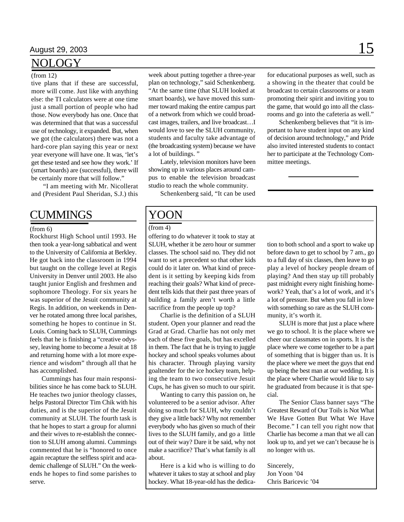### NOLOGY

#### (from 12)

tive plans that if these are successful, more will come. Just like with anything else: the TI calculators were at one time just a small portion of people who had those. Now everybody has one. Once that was determined that that was a successful use of technology, it expanded. But, when we got (the calculators) there was not a hard-core plan saying this year or next year everyone will have one. It was, 'let's get these tested and see how they work.' If (smart boards) are (successful), there will be certainly more that will follow."

"I am meeting with Mr. Nicollerat and (President Paul Sheridan, S.J.) this

### **CUMMINGS**

#### (from 6)

Rockhurst High School until 1993. He then took a year-long sabbatical and went to the University of California at Berkley. He got back into the classroom in 1994 but taught on the college level at Regis University in Denver until 2003. He also taught junior English and freshmen and sophomore Theology. For six years he was superior of the Jesuit community at Regis. In addition, on weekends in Denver he rotated among three local parishes, something he hopes to continue in St. Louis. Coming back to SLUH, Cummings feels that he is finishing a "creative odyssey, leaving home to become a Jesuit at 18 and returning home with a lot more experience and wisdom" through all that he has accomplished.

Cummings has four main responsibilities since he has come back to SLUH. He teaches two junior theology classes, helps Pastoral Director Tim Chik with his duties, and is the superior of the Jesuit community at SLUH. The fourth task is that he hopes to start a group for alumni and their wives to re-establish the connection to SLUH among alumni. Cummings commented that he is "honored to once again recapture the selfless spirit and academic challenge of SLUH." On the weekends he hopes to find some parishes to serve.

week about putting together a three-year plan on technology," said Schenkenberg. "At the same time (that SLUH looked at smart boards), we have moved this summer toward making the entire campus part of a network from which we could broadcast images, trailers, and live broadcast…I would love to see the SLUH community, students and faculty take advantage of (the broadcasting system) because we have a lot of buildings. "

Lately, television monitors have been showing up in various places around campus to enable the television broadcast studio to reach the whole community.

Schenkenberg said, "It can be used

for educational purposes as well, such as a showing in the theater that could be broadcast to certain classrooms or a team promoting their spirit and inviting you to the game, that would go into all the classrooms and go into the cafeteria as well."

Schenkenberg believes that "it is important to have student input on any kind of decision around technology," and Pride also invited interested students to contact her to participate at the Technology Committee meetings.

### YOON

### (from 4)

offering to do whatever it took to stay at SLUH, whether it be zero hour or summer classes. The school said no. They did not want to set a precedent so that other kids could do it later on. What kind of precedent is it setting by keeping kids from reaching their goals? What kind of precedent tells kids that their past three years of building a family aren't worth a little sacrifice from the people up top?

Charlie is the definition of a SLUH student. Open your planner and read the Grad at Grad. Charlie has not only met each of these five goals, but has excelled in them. The fact that he is trying to juggle hockey and school speaks volumes about his character. Through playing varsity goaltender for the ice hockey team, helping the team to two consecutive Jesuit Cups, he has given so much to our spirit.

Wanting to carry this passion on, he volunteered to be a senior advisor. After doing so much for SLUH, why couldn't they give a little back? Why not remember everybody who has given so much of their lives to the SLUH family, and go a little out of their way? Dare it be said, why not make a sacrifice? That's what family is all about.

Here is a kid who is willing to do whatever it takes to stay at school and play hockey. What 18-year-old has the dedication to both school and a sport to wake up before dawn to get to school by 7 am., go to a full day of six classes, then leave to go play a level of hockey people dream of playing? And then stay up till probably past midnight every night finishing homework? Yeah, that's a lot of work, and it's a lot of pressure. But when you fall in love with something so rare as the SLUH community, it's worth it.

SLUH is more that just a place where we go to school. It is the place where we cheer our classmates on in sports. It is the place where we come together to be a part of something that is bigger than us. It is the place where we meet the guys that end up being the best man at our wedding. It is the place where Charlie would like to say he graduated from because it is that special.

The Senior Class banner says "The Greatest Reward of Our Toils is Not What We Have Gotten But What We Have Become." I can tell you right now that Charlie has become a man that we all can look up to, and yet we can't because he is no longer with us.

Sincerely, Jon Yoon '04 Chris Baricevic '04